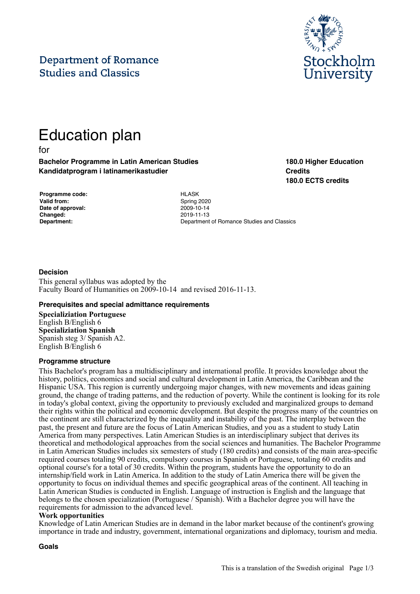# **Department of Romance Studies and Classics**



# Education plan

for

**Bachelor Programme in Latin American Studies Kandidatprogram i latinamerikastudier**

**180.0 Higher Education Credits 180.0 ECTS credits**

| Programme code:    |
|--------------------|
| <b>Valid from:</b> |
| Date of approval:  |
| Changed:           |
| Department:        |

**Programme code:** HLASK **Valid from:** Spring 2020 **Date of approval:** 2009-10-14 **Changed:** 2019-11-13 **Department:** Department of Romance Studies and Classics

# **Decision**

This general syllabus was adopted by the Faculty Board of Humanities on 2009-10-14 and revised 2016-11-13.

#### **Prerequisites and special admittance requirements**

**Specializiation Portuguese**  English B/English 6 **Specializiation Spanish**  Spanish steg 3/ Spanish A2. English B/English 6

#### **Programme structure**

This Bachelor's program has a multidisciplinary and international profile. It provides knowledge about the history, politics, economics and social and cultural development in Latin America, the Caribbean and the Hispanic USA. This region is currently undergoing major changes, with new movements and ideas gaining ground, the change of trading patterns, and the reduction of poverty. While the continent is looking for its role in today's global context, giving the opportunity to previously excluded and marginalized groups to demand their rights within the political and economic development. But despite the progress many of the countries on the continent are still characterized by the inequality and instability of the past. The interplay between the past, the present and future are the focus of Latin American Studies, and you as a student to study Latin America from many perspectives. Latin American Studies is an interdisciplinary subject that derives its theoretical and methodological approaches from the social sciences and humanities. The Bachelor Programme in Latin American Studies includes six semesters of study (180 credits) and consists of the main area-specific required courses totaling 90 credits, compulsory courses in Spanish or Portuguese, totaling 60 credits and optional course's for a total of 30 credits. Within the program, students have the opportunity to do an internship/field work in Latin America. In addition to the study of Latin America there will be given the opportunity to focus on individual themes and specific geographical areas of the continent. All teaching in Latin American Studies is conducted in English. Language of instruction is English and the language that belongs to the chosen specialization (Portuguese / Spanish). With a Bachelor degree you will have the requirements for admission to the advanced level.

#### **Work opportunities**

Knowledge of Latin American Studies are in demand in the labor market because of the continent's growing importance in trade and industry, government, international organizations and diplomacy, tourism and media.

**Goals**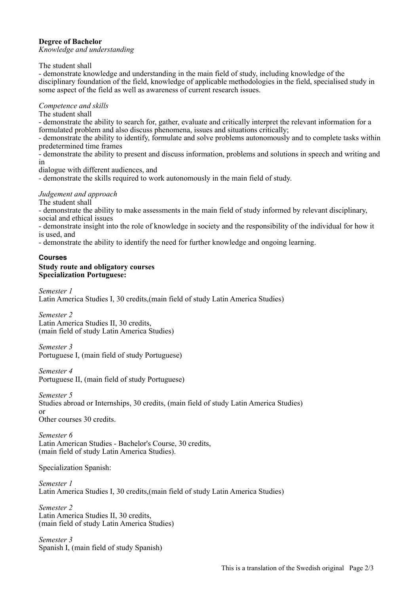# **Degree of Bachelor**

*Knowledge and understanding*

The student shall

- demonstrate knowledge and understanding in the main field of study, including knowledge of the disciplinary foundation of the field, knowledge of applicable methodologies in the field, specialised study in some aspect of the field as well as awareness of current research issues.

#### *Competence and skills*

The student shall

- demonstrate the ability to search for, gather, evaluate and critically interpret the relevant information for a formulated problem and also discuss phenomena, issues and situations critically;

- demonstrate the ability to identify, formulate and solve problems autonomously and to complete tasks within predetermined time frames

- demonstrate the ability to present and discuss information, problems and solutions in speech and writing and in

dialogue with different audiences, and

- demonstrate the skills required to work autonomously in the main field of study.

# *Judgement and approach*

The student shall

- demonstrate the ability to make assessments in the main field of study informed by relevant disciplinary, social and ethical issues

- demonstrate insight into the role of knowledge in society and the responsibility of the individual for how it is used, and

- demonstrate the ability to identify the need for further knowledge and ongoing learning.

# **Courses**

#### **Study route and obligatory courses Specialization Portuguese:**

*Semester 1* Latin America Studies I, 30 credits,(main field of study Latin America Studies)

*Semester 2* Latin America Studies II, 30 credits, (main field of study Latin America Studies)

*Semester 3* Portuguese I, (main field of study Portuguese)

*Semester 4* Portuguese II, (main field of study Portuguese)

*Semester 5* Studies abroad or Internships, 30 credits, (main field of study Latin America Studies) or Other courses 30 credits.

*Semester 6* Latin American Studies - Bachelor's Course, 30 credits, (main field of study Latin America Studies).

Specialization Spanish:

*Semester 1* Latin America Studies I, 30 credits,(main field of study Latin America Studies)

*Semester 2* Latin America Studies II, 30 credits, (main field of study Latin America Studies)

*Semester 3* Spanish I, (main field of study Spanish)